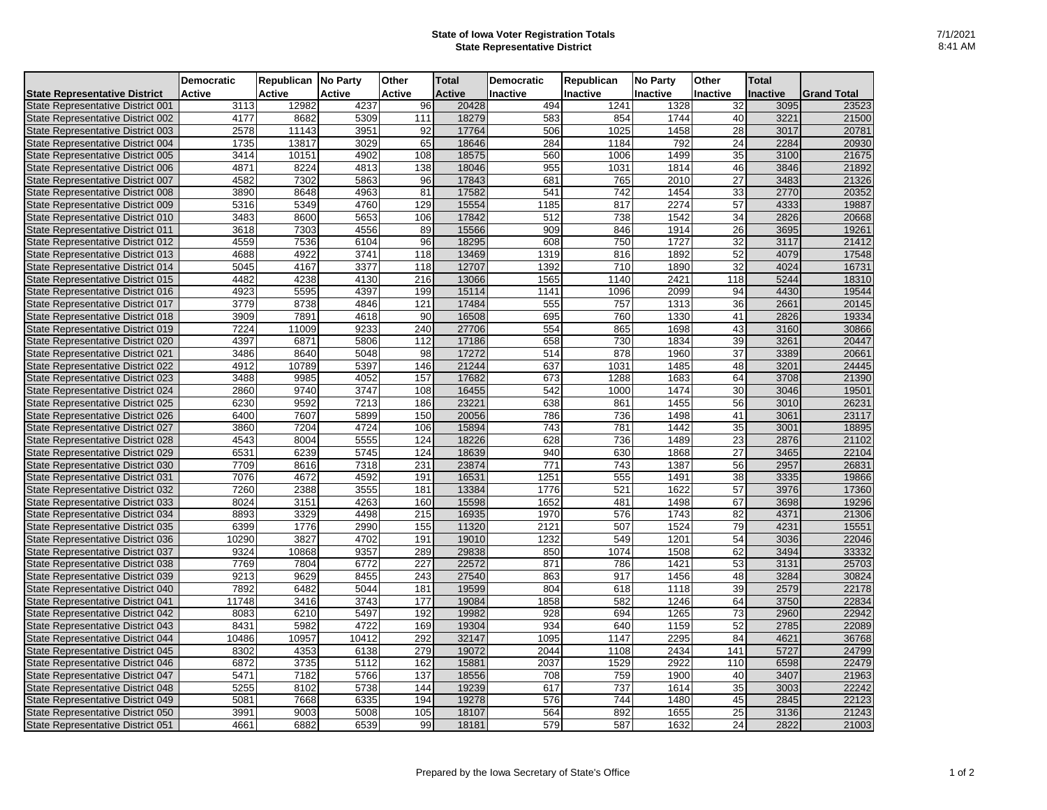## **State of Iowa Voter Registration Totals State Representative District**

|                                          | <b>Democratic</b> | Republican No Party |               | Other            | <b>Total</b>  | <b>Democratic</b> | Republican | <b>No Party</b> | Other           | <b>Total</b>    |                    |
|------------------------------------------|-------------------|---------------------|---------------|------------------|---------------|-------------------|------------|-----------------|-----------------|-----------------|--------------------|
| <b>State Representative District</b>     | Active            | Active              | <b>Active</b> | <b>Active</b>    | <b>Active</b> | <b>Inactive</b>   | Inactive   | Inactive        | <b>Inactive</b> | <b>Inactive</b> | <b>Grand Total</b> |
| State Representative District 001        | 3113              | 12982               | 4237          | 96               | 20428         | 494               | 1241       | 1328            | 32              | 3095            | 23523              |
| State Representative District 002        | 4177              | 8682                | 5309          | 111              | 18279         | 583               | 854        | 1744            | 40              | 3221            | 21500              |
| State Representative District 003        | 2578              | 11143               | 3951          | 92               | 17764         | 506               | 1025       | 1458            | 28              | 3017            | 20781              |
| State Representative District 004        | 1735              | 13817               | 3029          | 65               | 18646         | 284               | 1184       | 792             | 24              | 2284            | 20930              |
| State Representative District 005        | 3414              | 10151               | 4902          | 108              | 18575         | 560               | 1006       | 1499            | 35              | 3100            | 21675              |
| <b>State Representative District 006</b> | 4871              | 8224                | 4813          | 138              | 18046         | 955               | 1031       | 1814            | 46              | 3846            | 21892              |
| State Representative District 007        | 4582              | 7302                | 5863          | 96               | 17843         | 681               | 765        | 2010            | 27              | 3483            | 21326              |
| State Representative District 008        | 3890              | 8648                | 4963          | 81               | 17582         | 541               | 742        | 1454            | 33              | 2770            | 20352              |
| State Representative District 009        | 5316              | 5349                | 4760          | 129              | 15554         | 1185              | 817        | 2274            | 57              | 4333            | 19887              |
| State Representative District 010        | 3483              | 8600                | 5653          | 106              | 17842         | 512               | 738        | 1542            | 34              | 2826            | 20668              |
| State Representative District 011        | 3618              | 7303                | 4556          | 89               | 15566         | 909               | 846        | 1914            | 26              | 3695            | 19261              |
| State Representative District 012        | 4559              | 7536                | 6104          | 96               | 18295         | 608               | 750        | 1727            | 32              | 3117            | 21412              |
| State Representative District 013        | 4688              | 4922                | 3741          | 118              | 13469         | 1319              | 816        | 1892            | 52              | 4079            | 17548              |
| State Representative District 014        | 5045              | 4167                | 3377          | 118              | 12707         | 1392              | 710        | 1890            | 32              | 4024            | 16731              |
| State Representative District 015        | 4482              | 4238                | 4130          | $\overline{216}$ | 13066         | 1565              | 1140       | 2421            | 118             | 5244            | 18310              |
| State Representative District 016        | 4923              | 5595                | 4397          | 199              | 15114         | 1141              | 1096       | 2099            | 94              | 4430            | 19544              |
| State Representative District 017        | 3779              | 8738                | 4846          | 121              | 17484         | 555               | 757        | 1313            | 36              | 2661            | 20145              |
| State Representative District 018        | 3909              | 7891                | 4618          | 90               | 16508         | 695               | 760        | 1330            | 41              | 2826            | 19334              |
| State Representative District 019        | 7224              | 11009               | 9233          | 240              | 27706         | 554               | 865        | 1698            | 43              | 3160            | 30866              |
| State Representative District 020        | 4397              | 6871                | 5806          | 112              | 17186         | 658               | 730        | 1834            | 39              | 3261            | 20447              |
| State Representative District 021        | 3486              | 8640                | 5048          | 98               | 17272         | 514               | 878        | 1960            | 37              | 3389            | 20661              |
| State Representative District 022        | 4912              | 10789               | 5397          | 146              | 21244         | 637               | 1031       | 1485            | 48              | 3201            | 24445              |
| State Representative District 023        | 3488              | 9985                | 4052          | 157              | 17682         | 673               | 1288       | 1683            | 64              | 3708            | 21390              |
| State Representative District 024        | 2860              | 9740                | 3747          | 108              | 16455         | 542               | 1000       | 1474            | 30              | 3046            | 19501              |
| State Representative District 025        | 6230              | 9592                | 7213          | 186              | 23221         | 638               | 861        | 1455            | 56              | 3010            | 26231              |
| State Representative District 026        | 6400              | 7607                | 5899          | 150              | 20056         | 786               | 736        | 1498            | 41              | 3061            | 23117              |
| State Representative District 027        | 3860              | 7204                | 4724          | 106              | 15894         | 743               | 781        | 1442            | 35              | 3001            | 18895              |
| State Representative District 028        | 4543              | 8004                | 5555          | 124              | 18226         | 628               | 736        | 1489            | 23              | 2876            | 21102              |
| State Representative District 029        | 6531              | 6239                | 5745          | 124              | 18639         | 940               | 630        | 1868            | 27              | 3465            | 22104              |
| State Representative District 030        | 7709              | 8616                | 7318          | 231              | 23874         | 771               | 743        | 1387            | 56              | 2957            | 26831              |
| State Representative District 031        | 7076              | 4672                | 4592          | 191              | 16531         | 1251              | 555        | 1491            | 38              | 3335            | 19866              |
| State Representative District 032        | 7260              | 2388                | 3555          | 181              | 13384         | 1776              | 521        | 1622            | 57              | 3976            | 17360              |
| State Representative District 033        | 8024              | 3151                | 4263          | 160              | 15598         | 1652              | 481        | 1498            | 67              | 3698            | 19296              |
| State Representative District 034        | 8893              | 3329                | 4498          | 215              | 16935         | 1970              | 576        | 1743            | 82              | 4371            | 21306              |
| State Representative District 035        | 6399              | 1776                | 2990          | 155              | 11320         | 2121              | 507        | 1524            | 79              | 4231            | 15551              |
| State Representative District 036        | 10290             | 3827                | 4702          | 191              | 19010         | 1232              | 549        | 1201            | 54              | 3036            | 22046              |
| State Representative District 037        | 9324              | 10868               | 9357          | 289              | 29838         | 850               | 1074       | 1508            | 62              | 3494            | 33332              |
| State Representative District 038        | 7769              | 7804                | 6772          | 227              | 22572         | 871               | 786        | 1421            | 53              | 3131            | 25703              |
| State Representative District 039        | 9213              | 9629                | 8455          | 243              | 27540         | 863               | 917        | 1456            | 48              | 3284            | 30824              |
| State Representative District 040        | 7892              | 6482                | 5044          | 181              | 19599         | 804               | 618        | 1118            | 39              | 2579            | 22178              |
| State Representative District 041        | 11748             | 3416                | 3743          | 177              | 19084         | 1858              | 582        | 1246            | 64              | 3750            | 22834              |
| State Representative District 042        | 8083              | 6210                | 5497          | 192              | 19982         | 928               | 694        | 1265            | 73              | 2960            | 22942              |
| State Representative District 043        | 8431              | 5982                | 4722          | 169              | 19304         | 934               | 640        | 1159            | 52              | 2785            | 22089              |
| State Representative District 044        | 10486             | 10957               | 10412         | 292              | 32147         | 1095              | 1147       | 2295            | 84              | 4621            | 36768              |
| State Representative District 045        | 8302              | 4353                | 6138          | 279              | 19072         | 2044              | 1108       | 2434            | 141             | 5727            | 24799              |
| State Representative District 046        | 6872              | 3735                | 5112          | 162              | 15881         | 2037              | 1529       | 2922            | 110             | 6598            | 22479              |
| State Representative District 047        | 5471              | 7182                | 5766          | 137              | 18556         | 708               | 759        | 1900            | 40              | 3407            | 21963              |
| State Representative District 048        | 5255              | 8102                | 5738          | 144              | 19239         | 617               | 737        | 1614            | 35              | 3003            | 22242              |
| State Representative District 049        | 5081              | 7668                | 6335          | 194              | 19278         | 576               | 744        | 1480            | 45              | 2845            | 22123              |
| State Representative District 050        | 3991              | 9003                | 5008          | 105              | 18107         | 564               | 892        | 1655            | 25              |                 | 21243              |
|                                          |                   |                     |               |                  |               |                   |            |                 |                 | 3136            |                    |
| State Representative District 051        | 4661              | 6882                | 6539          | 99               | 18181         | 579               | 587        | 1632            | 24              | 2822            | 21003              |